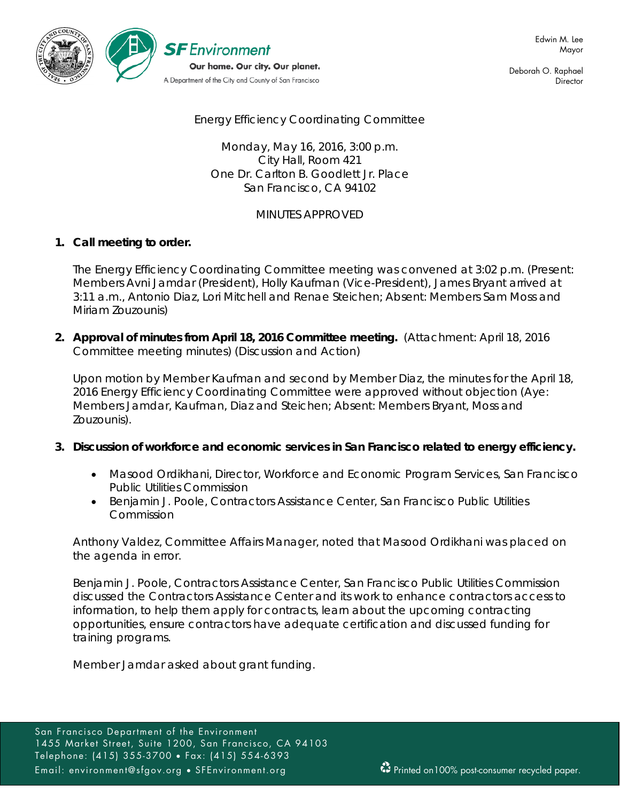

Deborah O. Raphael **Director** 

Energy Efficiency Coordinating Committee

Monday, May 16, 2016, 3:00 p.m. City Hall, Room 421 One Dr. Carlton B. Goodlett Jr. Place San Francisco, CA 94102

# MINUTES APPROVED

### **1. Call meeting to order.**

The Energy Efficiency Coordinating Committee meeting was convened at 3:02 p.m. (Present: Members Avni Jamdar (President), Holly Kaufman (Vice-President), James Bryant arrived at 3:11 a.m., Antonio Diaz, Lori Mitchell and Renae Steichen; Absent: Members Sam Moss and Miriam Zouzounis)

**2. Approval of minutes from April 18, 2016 Committee meeting.** (Attachment: April 18, 2016 Committee meeting minutes) (Discussion and Action)

Upon motion by Member Kaufman and second by Member Diaz, the minutes for the April 18, 2016 Energy Efficiency Coordinating Committee were approved without objection (Aye: Members Jamdar, Kaufman, Diaz and Steichen; Absent: Members Bryant, Moss and Zouzounis).

#### **3. Discussion of workforce and economic services in San Francisco related to energy efficiency.**

- Masood Ordikhani, Director, Workforce and Economic Program Services, San Francisco Public Utilities Commission
- Benjamin J. Poole, Contractors Assistance Center, San Francisco Public Utilities Commission

Anthony Valdez, Committee Affairs Manager, noted that Masood Ordikhani was placed on the agenda in error.

Benjamin J. Poole, Contractors Assistance Center, San Francisco Public Utilities Commission discussed the Contractors Assistance Center and its work to enhance contractors access to information, to help them apply for contracts, learn about the upcoming contracting opportunities, ensure contractors have adequate certification and discussed funding for training programs.

Member Jamdar asked about grant funding.

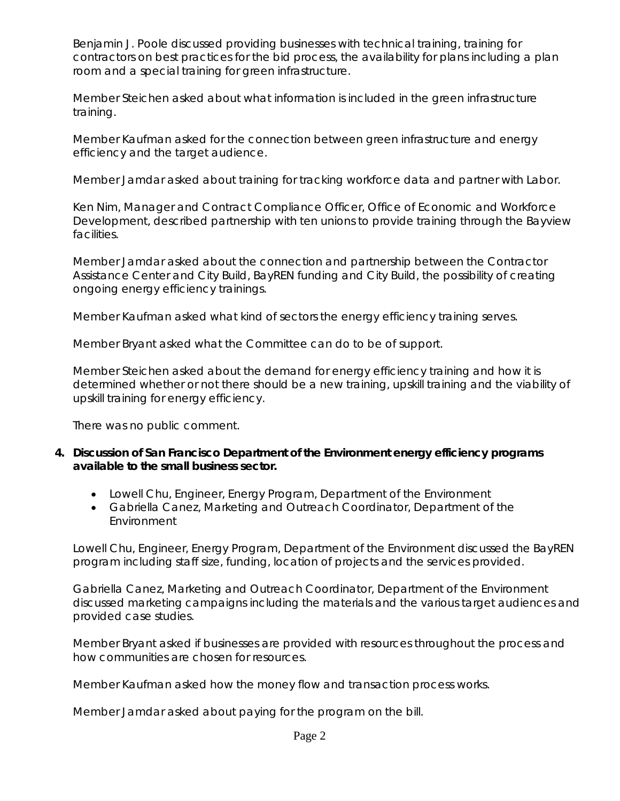Benjamin J. Poole discussed providing businesses with technical training, training for contractors on best practices for the bid process, the availability for plans including a plan room and a special training for green infrastructure.

Member Steichen asked about what information is included in the green infrastructure training.

Member Kaufman asked for the connection between green infrastructure and energy efficiency and the target audience.

Member Jamdar asked about training for tracking workforce data and partner with Labor.

Ken Nim, Manager and Contract Compliance Officer, Office of Economic and Workforce Development, described partnership with ten unions to provide training through the Bayview facilities.

Member Jamdar asked about the connection and partnership between the Contractor Assistance Center and City Build, BayREN funding and City Build, the possibility of creating ongoing energy efficiency trainings.

Member Kaufman asked what kind of sectors the energy efficiency training serves.

Member Bryant asked what the Committee can do to be of support.

Member Steichen asked about the demand for energy efficiency training and how it is determined whether or not there should be a new training, upskill training and the viability of upskill training for energy efficiency.

There was no public comment.

- **4. Discussion of San Francisco Department of the Environment energy efficiency programs available to the small business sector.**
	- Lowell Chu, Engineer, Energy Program, Department of the Environment
	- Gabriella Canez, Marketing and Outreach Coordinator, Department of the Environment

Lowell Chu, Engineer, Energy Program, Department of the Environment discussed the BayREN program including staff size, funding, location of projects and the services provided.

Gabriella Canez, Marketing and Outreach Coordinator, Department of the Environment discussed marketing campaigns including the materials and the various target audiences and provided case studies.

Member Bryant asked if businesses are provided with resources throughout the process and how communities are chosen for resources.

Member Kaufman asked how the money flow and transaction process works.

Member Jamdar asked about paying for the program on the bill.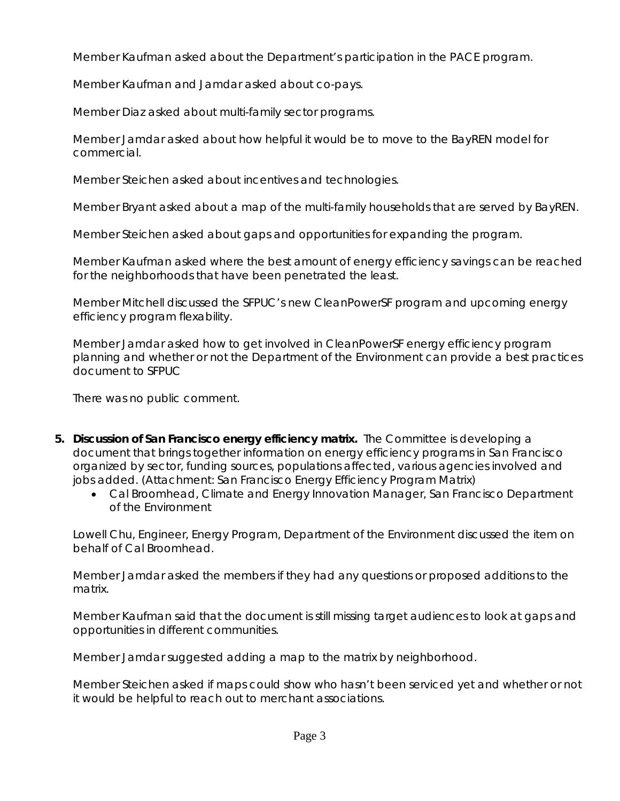Member Kaufman asked about the Department's participation in the PACE program.

Member Kaufman and Jamdar asked about co-pays.

Member Diaz asked about multi-family sector programs.

Member Jamdar asked about how helpful it would be to move to the BayREN model for commercial.

Member Steichen asked about incentives and technologies.

Member Bryant asked about a map of the multi-family households that are served by BayREN.

Member Steichen asked about gaps and opportunities for expanding the program.

Member Kaufman asked where the best amount of energy efficiency savings can be reached for the neighborhoods that have been penetrated the least.

Member Mitchell discussed the SFPUC's new CleanPowerSF program and upcoming energy efficiency program flexability.

Member Jamdar asked how to get involved in CleanPowerSF energy efficiency program planning and whether or not the Department of the Environment can provide a best practices document to SFPUC

There was no public comment.

- **5. Discussion of San Francisco energy efficiency matrix.** The Committee is developing a document that brings together information on energy efficiency programs in San Francisco organized by sector, funding sources, populations affected, various agencies involved and jobs added. (Attachment: San Francisco Energy Efficiency Program Matrix)
	- Cal Broomhead, Climate and Energy Innovation Manager, San Francisco Department of the Environment

Lowell Chu, Engineer, Energy Program, Department of the Environment discussed the item on behalf of Cal Broomhead.

Member Jamdar asked the members if they had any questions or proposed additions to the matrix.

Member Kaufman said that the document is still missing target audiences to look at gaps and opportunities in different communities.

Member Jamdar suggested adding a map to the matrix by neighborhood.

Member Steichen asked if maps could show who hasn't been serviced yet and whether or not it would be helpful to reach out to merchant associations.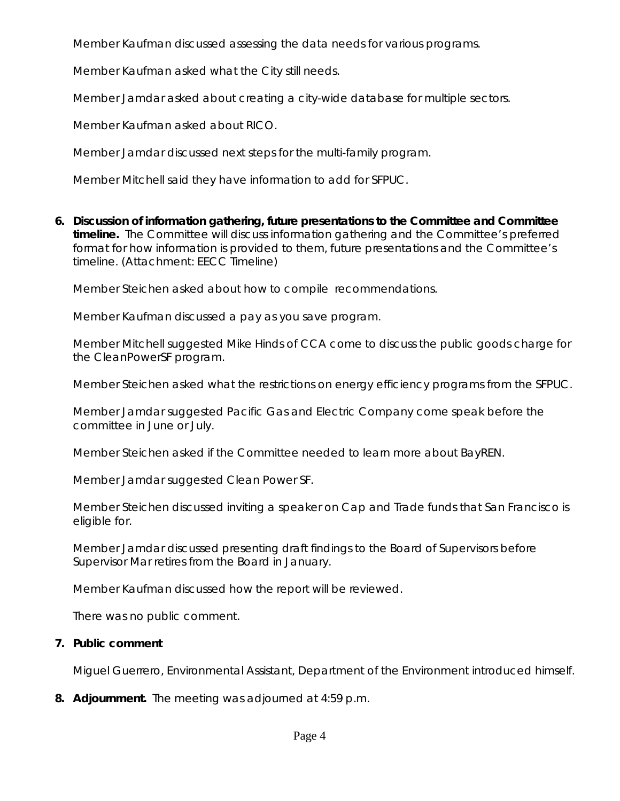Member Kaufman discussed assessing the data needs for various programs.

Member Kaufman asked what the City still needs.

Member Jamdar asked about creating a city-wide database for multiple sectors.

Member Kaufman asked about RICO.

Member Jamdar discussed next steps for the multi-family program.

Member Mitchell said they have information to add for SFPUC.

**6. Discussion of information gathering, future presentations to the Committee and Committee timeline.** The Committee will discuss information gathering and the Committee's preferred format for how information is provided to them, future presentations and the Committee's timeline. (Attachment: EECC Timeline)

Member Steichen asked about how to compile recommendations.

Member Kaufman discussed a pay as you save program.

Member Mitchell suggested Mike Hinds of CCA come to discuss the public goods charge for the CleanPowerSF program.

Member Steichen asked what the restrictions on energy efficiency programs from the SFPUC.

Member Jamdar suggested Pacific Gas and Electric Company come speak before the committee in June or July.

Member Steichen asked if the Committee needed to learn more about BayREN.

Member Jamdar suggested Clean Power SF.

Member Steichen discussed inviting a speaker on Cap and Trade funds that San Francisco is eligible for.

Member Jamdar discussed presenting draft findings to the Board of Supervisors before Supervisor Mar retires from the Board in January.

Member Kaufman discussed how the report will be reviewed.

There was no public comment.

# **7. Public comment**

Miguel Guerrero, Environmental Assistant, Department of the Environment introduced himself.

**8. Adjournment.** The meeting was adjourned at 4:59 p.m.